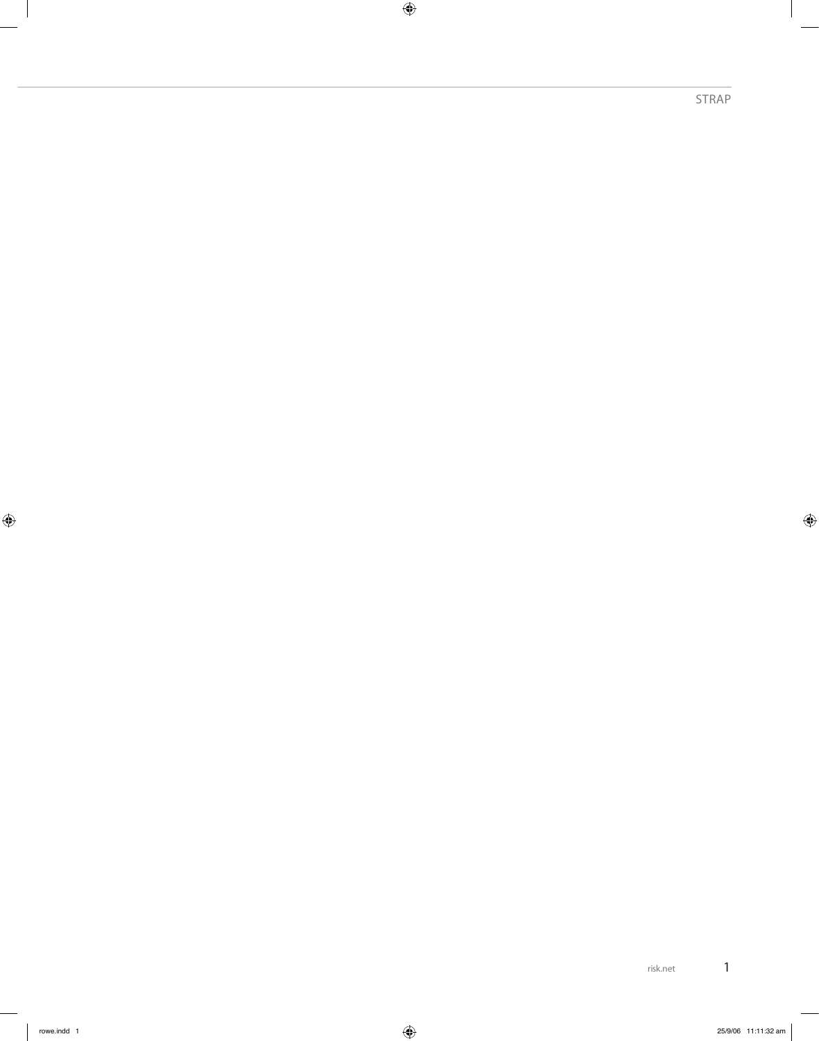STRAP

 $\bigoplus$ 

 $\bigoplus$ 

 $\bigoplus$